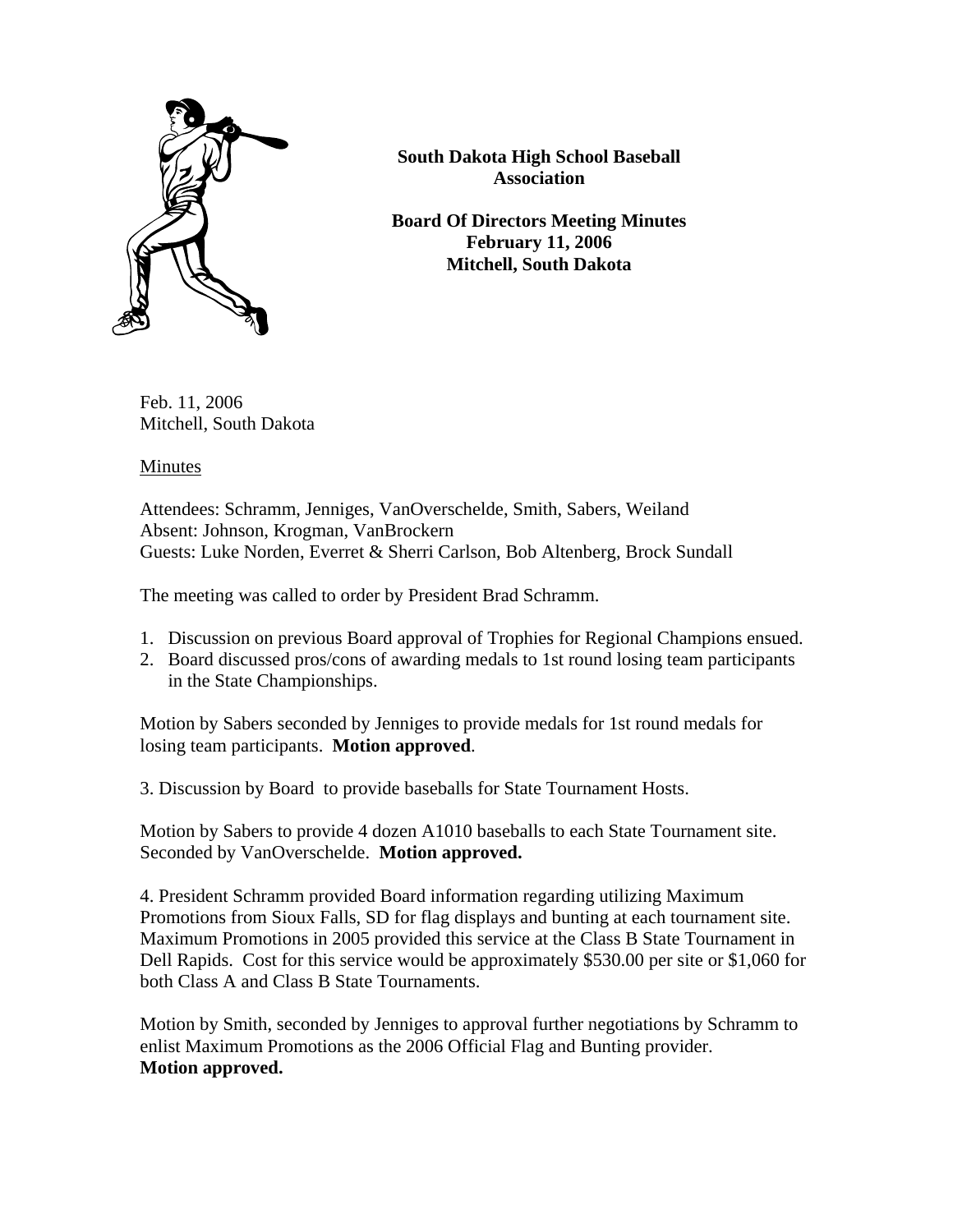

**South Dakota High School Baseball Association**

**Board Of Directors Meeting Minutes February 11, 2006 Mitchell, South Dakota** 

Feb. 11, 2006 Mitchell, South Dakota

Minutes

Attendees: Schramm, Jenniges, VanOverschelde, Smith, Sabers, Weiland Absent: Johnson, Krogman, VanBrockern Guests: Luke Norden, Everret & Sherri Carlson, Bob Altenberg, Brock Sundall

The meeting was called to order by President Brad Schramm.

- 1. Discussion on previous Board approval of Trophies for Regional Champions ensued.
- 2. Board discussed pros/cons of awarding medals to 1st round losing team participants in the State Championships.

Motion by Sabers seconded by Jenniges to provide medals for 1st round medals for losing team participants. **Motion approved**.

3. Discussion by Board to provide baseballs for State Tournament Hosts.

Motion by Sabers to provide 4 dozen A1010 baseballs to each State Tournament site. Seconded by VanOverschelde. **Motion approved.**

4. President Schramm provided Board information regarding utilizing Maximum Promotions from Sioux Falls, SD for flag displays and bunting at each tournament site. Maximum Promotions in 2005 provided this service at the Class B State Tournament in Dell Rapids. Cost for this service would be approximately \$530.00 per site or \$1,060 for both Class A and Class B State Tournaments.

Motion by Smith, seconded by Jenniges to approval further negotiations by Schramm to enlist Maximum Promotions as the 2006 Official Flag and Bunting provider. **Motion approved.**